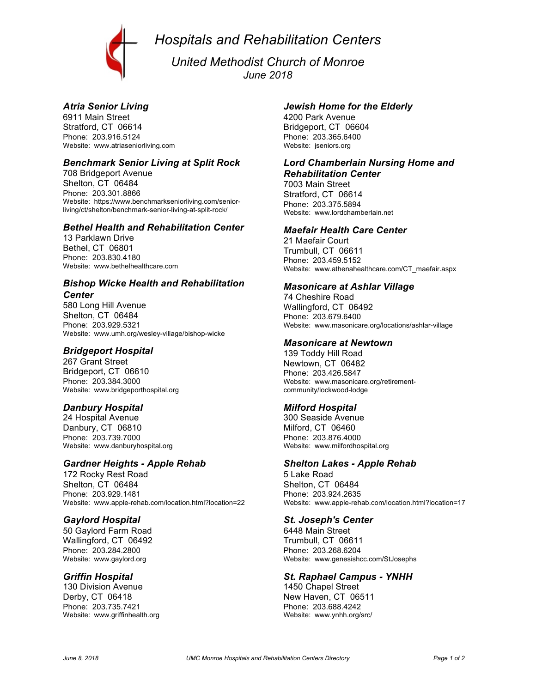*Hospitals and Rehabilitation Centers*



*United Methodist Church of Monroe June 2018*

# *Atria Senior Living*

6911 Main Street Stratford, CT 06614 Phone: 203.916.5124 Website: www.atriaseniorliving.com

### *Benchmark Senior Living at Split Rock*

708 Bridgeport Avenue Shelton, CT 06484 Phone: 203.301.8866 Website: https://www.benchmarkseniorliving.com/seniorliving/ct/shelton/benchmark-senior-living-at-split-rock/

### *Bethel Health and Rehabilitation Center*

13 Parklawn Drive Bethel, CT 06801 Phone: 203.830.4180 Website: www.bethelhealthcare.com

#### *Bishop Wicke Health and Rehabilitation Center*

580 Long Hill Avenue Shelton, CT 06484 Phone: 203.929.5321 Website: www.umh.org/wesley-village/bishop-wicke

## *Bridgeport Hospital*

267 Grant Street Bridgeport, CT 06610 Phone: 203.384.3000 Website: www.bridgeporthospital.org

# *Danbury Hospital*

24 Hospital Avenue Danbury, CT 06810 Phone: 203.739.7000 Website: www.danburyhospital.org

#### *Gardner Heights - Apple Rehab*

172 Rocky Rest Road Shelton, CT 06484 Phone: 203.929.1481 Website: www.apple-rehab.com/location.html?location=22

#### *Gaylord Hospital*

50 Gaylord Farm Road Wallingford, CT 06492 Phone: 203.284.2800 Website: www.gaylord.org

#### *Griffin Hospital*

130 Division Avenue Derby, CT 06418 Phone: 203.735.7421 Website: www.griffinhealth.org

### *Jewish Home for the Elderly*

4200 Park Avenue Bridgeport, CT 06604 Phone: 203.365.6400 Website: jseniors.org

## *Lord Chamberlain Nursing Home and Rehabilitation Center*

7003 Main Street Stratford, CT 06614 Phone: 203.375.5894 Website: www.lordchamberlain.net

#### *Maefair Health Care Center*

21 Maefair Court Trumbull, CT 06611 Phone: 203.459.5152 Website: www.athenahealthcare.com/CT\_maefair.aspx

# *Masonicare at Ashlar Village*

74 Cheshire Road Wallingford, CT 06492 Phone: 203.679.6400 Website: www.masonicare.org/locations/ashlar-village

### *Masonicare at Newtown*

139 Toddy Hill Road Newtown, CT 06482 Phone: 203.426.5847 Website: www.masonicare.org/retirementcommunity/lockwood-lodge

# *Milford Hospital*

300 Seaside Avenue Milford, CT 06460 Phone: 203.876.4000 Website: www.milfordhospital.org

#### *Shelton Lakes - Apple Rehab*

5 Lake Road Shelton, CT 06484 Phone: 203.924.2635 Website: www.apple-rehab.com/location.html?location=17

#### *St. Joseph's Center*

6448 Main Street Trumbull, CT 06611 Phone: 203.268.6204 Website: www.genesishcc.com/StJosephs

#### *St. Raphael Campus - YNHH*

1450 Chapel Street New Haven, CT 06511 Phone: 203.688.4242 Website: www.ynhh.org/src/